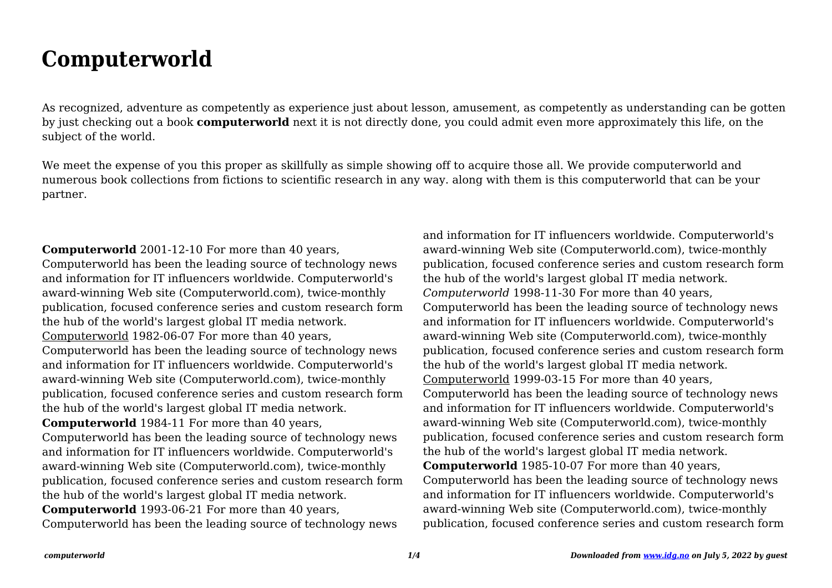## **Computerworld**

As recognized, adventure as competently as experience just about lesson, amusement, as competently as understanding can be gotten by just checking out a book **computerworld** next it is not directly done, you could admit even more approximately this life, on the subject of the world.

We meet the expense of you this proper as skillfully as simple showing off to acquire those all. We provide computerworld and numerous book collections from fictions to scientific research in any way. along with them is this computerworld that can be your partner.

**Computerworld** 2001-12-10 For more than 40 years, Computerworld has been the leading source of technology news and information for IT influencers worldwide. Computerworld's award-winning Web site (Computerworld.com), twice-monthly publication, focused conference series and custom research form the hub of the world's largest global IT media network. Computerworld 1982-06-07 For more than 40 years, Computerworld has been the leading source of technology news and information for IT influencers worldwide. Computerworld's award-winning Web site (Computerworld.com), twice-monthly publication, focused conference series and custom research form the hub of the world's largest global IT media network. **Computerworld** 1984-11 For more than 40 years, Computerworld has been the leading source of technology news and information for IT influencers worldwide. Computerworld's award-winning Web site (Computerworld.com), twice-monthly publication, focused conference series and custom research form the hub of the world's largest global IT media network. **Computerworld** 1993-06-21 For more than 40 years, Computerworld has been the leading source of technology news

and information for IT influencers worldwide. Computerworld's award-winning Web site (Computerworld.com), twice-monthly publication, focused conference series and custom research form the hub of the world's largest global IT media network. *Computerworld* 1998-11-30 For more than 40 years, Computerworld has been the leading source of technology news and information for IT influencers worldwide. Computerworld's award-winning Web site (Computerworld.com), twice-monthly publication, focused conference series and custom research form the hub of the world's largest global IT media network. Computerworld 1999-03-15 For more than 40 years, Computerworld has been the leading source of technology news and information for IT influencers worldwide. Computerworld's award-winning Web site (Computerworld.com), twice-monthly publication, focused conference series and custom research form the hub of the world's largest global IT media network. **Computerworld** 1985-10-07 For more than 40 years, Computerworld has been the leading source of technology news and information for IT influencers worldwide. Computerworld's award-winning Web site (Computerworld.com), twice-monthly publication, focused conference series and custom research form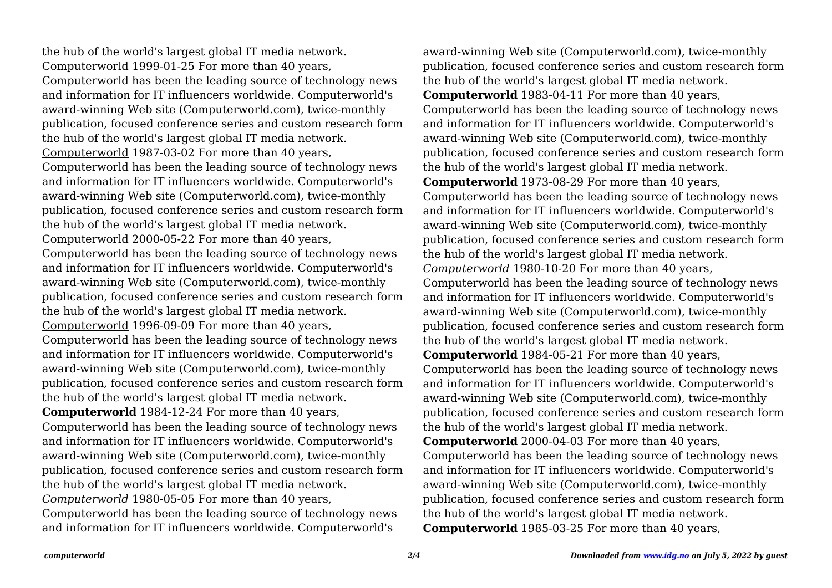the hub of the world's largest global IT media network. Computerworld 1999-01-25 For more than 40 years, Computerworld has been the leading source of technology news and information for IT influencers worldwide. Computerworld's award-winning Web site (Computerworld.com), twice-monthly publication, focused conference series and custom research form the hub of the world's largest global IT media network. Computerworld 1987-03-02 For more than 40 years, Computerworld has been the leading source of technology news and information for IT influencers worldwide. Computerworld's award-winning Web site (Computerworld.com), twice-monthly publication, focused conference series and custom research form the hub of the world's largest global IT media network. Computerworld 2000-05-22 For more than 40 years, Computerworld has been the leading source of technology news and information for IT influencers worldwide. Computerworld's award-winning Web site (Computerworld.com), twice-monthly publication, focused conference series and custom research form the hub of the world's largest global IT media network. Computerworld 1996-09-09 For more than 40 years, Computerworld has been the leading source of technology news and information for IT influencers worldwide. Computerworld's award-winning Web site (Computerworld.com), twice-monthly publication, focused conference series and custom research form the hub of the world's largest global IT media network. **Computerworld** 1984-12-24 For more than 40 years, Computerworld has been the leading source of technology news and information for IT influencers worldwide. Computerworld's award-winning Web site (Computerworld.com), twice-monthly publication, focused conference series and custom research form the hub of the world's largest global IT media network. *Computerworld* 1980-05-05 For more than 40 years, Computerworld has been the leading source of technology news and information for IT influencers worldwide. Computerworld's

award-winning Web site (Computerworld.com), twice-monthly publication, focused conference series and custom research form the hub of the world's largest global IT media network. **Computerworld** 1983-04-11 For more than 40 years, Computerworld has been the leading source of technology news and information for IT influencers worldwide. Computerworld's award-winning Web site (Computerworld.com), twice-monthly publication, focused conference series and custom research form the hub of the world's largest global IT media network. **Computerworld** 1973-08-29 For more than 40 years, Computerworld has been the leading source of technology news and information for IT influencers worldwide. Computerworld's award-winning Web site (Computerworld.com), twice-monthly publication, focused conference series and custom research form the hub of the world's largest global IT media network. *Computerworld* 1980-10-20 For more than 40 years, Computerworld has been the leading source of technology news and information for IT influencers worldwide. Computerworld's award-winning Web site (Computerworld.com), twice-monthly publication, focused conference series and custom research form the hub of the world's largest global IT media network. **Computerworld** 1984-05-21 For more than 40 years, Computerworld has been the leading source of technology news and information for IT influencers worldwide. Computerworld's award-winning Web site (Computerworld.com), twice-monthly publication, focused conference series and custom research form the hub of the world's largest global IT media network. **Computerworld** 2000-04-03 For more than 40 years, Computerworld has been the leading source of technology news and information for IT influencers worldwide. Computerworld's award-winning Web site (Computerworld.com), twice-monthly publication, focused conference series and custom research form the hub of the world's largest global IT media network. **Computerworld** 1985-03-25 For more than 40 years,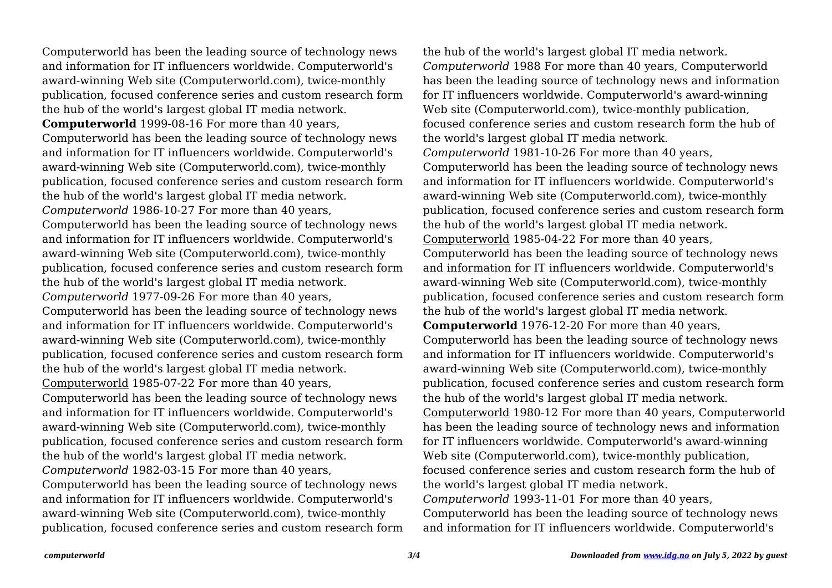Computerworld has been the leading source of technology news and information for IT influencers worldwide. Computerworld's award-winning Web site (Computerworld.com), twice-monthly publication, focused conference series and custom research form the hub of the world's largest global IT media network. **Computerworld** 1999-08-16 For more than 40 years, Computerworld has been the leading source of technology news and information for IT influencers worldwide. Computerworld's award-winning Web site (Computerworld.com), twice-monthly publication, focused conference series and custom research form the hub of the world's largest global IT media network. *Computerworld* 1986-10-27 For more than 40 years, Computerworld has been the leading source of technology news and information for IT influencers worldwide. Computerworld's award-winning Web site (Computerworld.com), twice-monthly publication, focused conference series and custom research form the hub of the world's largest global IT media network. *Computerworld* 1977-09-26 For more than 40 years, Computerworld has been the leading source of technology news and information for IT influencers worldwide. Computerworld's award-winning Web site (Computerworld.com), twice-monthly publication, focused conference series and custom research form the hub of the world's largest global IT media network. Computerworld 1985-07-22 For more than 40 years, Computerworld has been the leading source of technology news and information for IT influencers worldwide. Computerworld's award-winning Web site (Computerworld.com), twice-monthly publication, focused conference series and custom research form the hub of the world's largest global IT media network. *Computerworld* 1982-03-15 For more than 40 years, Computerworld has been the leading source of technology news and information for IT influencers worldwide. Computerworld's award-winning Web site (Computerworld.com), twice-monthly publication, focused conference series and custom research form the hub of the world's largest global IT media network. *Computerworld* 1988 For more than 40 years, Computerworld has been the leading source of technology news and information for IT influencers worldwide. Computerworld's award-winning Web site (Computerworld.com), twice-monthly publication, focused conference series and custom research form the hub of the world's largest global IT media network. *Computerworld* 1981-10-26 For more than 40 years, Computerworld has been the leading source of technology news and information for IT influencers worldwide. Computerworld's award-winning Web site (Computerworld.com), twice-monthly publication, focused conference series and custom research form the hub of the world's largest global IT media network. Computerworld 1985-04-22 For more than 40 years, Computerworld has been the leading source of technology news and information for IT influencers worldwide. Computerworld's award-winning Web site (Computerworld.com), twice-monthly publication, focused conference series and custom research form the hub of the world's largest global IT media network. **Computerworld** 1976-12-20 For more than 40 years, Computerworld has been the leading source of technology news and information for IT influencers worldwide. Computerworld's award-winning Web site (Computerworld.com), twice-monthly publication, focused conference series and custom research form the hub of the world's largest global IT media network. Computerworld 1980-12 For more than 40 years, Computerworld has been the leading source of technology news and information for IT influencers worldwide. Computerworld's award-winning Web site (Computerworld.com), twice-monthly publication, focused conference series and custom research form the hub of the world's largest global IT media network. *Computerworld* 1993-11-01 For more than 40 years, Computerworld has been the leading source of technology news and information for IT influencers worldwide. Computerworld's